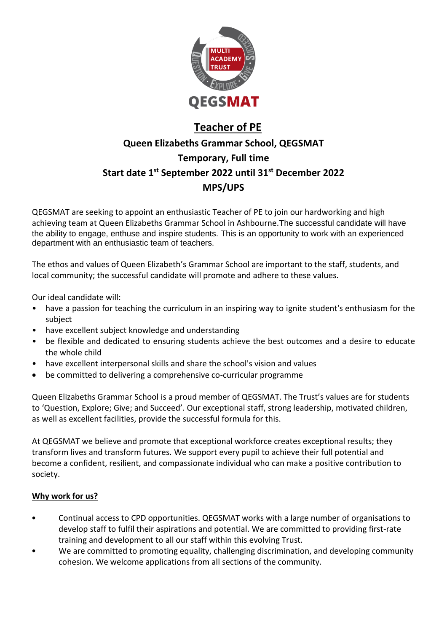

# **Teacher of PE Queen Elizabeths Grammar School, QEGSMAT Temporary, Full time Start date 1 st September 2022 until 31st December 2022 MPS/UPS**

QEGSMAT are seeking to appoint an enthusiastic Teacher of PE to join our hardworking and high achieving team at Queen Elizabeths Grammar School in Ashbourne.The successful candidate will have the ability to engage, enthuse and inspire students. This is an opportunity to work with an experienced department with an enthusiastic team of teachers.

The ethos and values of Queen Elizabeth's Grammar School are important to the staff, students, and local community; the successful candidate will promote and adhere to these values.

Our ideal candidate will:

- have a passion for teaching the curriculum in an inspiring way to ignite student's enthusiasm for the subject
- have excellent subject knowledge and understanding
- be flexible and dedicated to ensuring students achieve the best outcomes and a desire to educate the whole child
- have excellent interpersonal skills and share the school's vision and values
- be committed to delivering a comprehensive co-curricular programme

Queen Elizabeths Grammar School is a proud member of QEGSMAT. The Trust's values are for students to 'Question, Explore; Give; and Succeed'. Our exceptional staff, strong leadership, motivated children, as well as excellent facilities, provide the successful formula for this.

At QEGSMAT we believe and promote that exceptional workforce creates exceptional results; they transform lives and transform futures. We support every pupil to achieve their full potential and become a confident, resilient, and compassionate individual who can make a positive contribution to society.

#### **Why work for us?**

- Continual access to CPD opportunities. QEGSMAT works with a large number of organisations to develop staff to fulfil their aspirations and potential. We are committed to providing first-rate training and development to all our staff within this evolving Trust.
- We are committed to promoting equality, challenging discrimination, and developing community cohesion. We welcome applications from all sections of the community.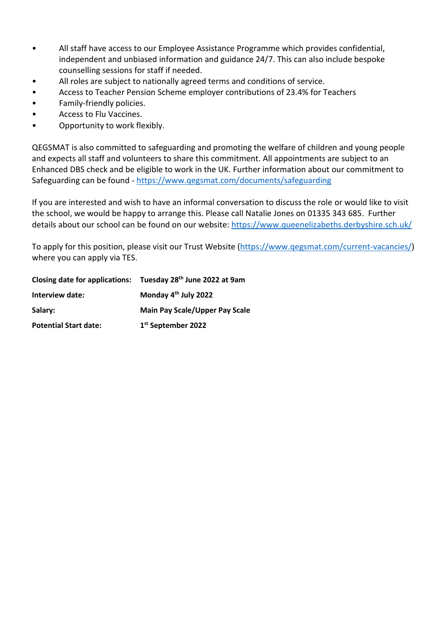- All staff have access to our Employee Assistance Programme which provides confidential, independent and unbiased information and guidance 24/7. This can also include bespoke counselling sessions for staff if needed.
- All roles are subject to nationally agreed terms and conditions of service.
- Access to Teacher Pension Scheme employer contributions of 23.4% for Teachers
- Family-friendly policies.
- Access to Flu Vaccines.
- Opportunity to work flexibly.

QEGSMAT is also committed to safeguarding and promoting the welfare of children and young people and expects all staff and volunteers to share this commitment. All appointments are subject to an Enhanced DBS check and be eligible to work in the UK. Further information about our commitment to Safeguarding can be found - <https://www.qegsmat.com/documents/safeguarding>

If you are interested and wish to have an informal conversation to discuss the role or would like to visit the school, we would be happy to arrange this. Please call Natalie Jones on 01335 343 685. Further details about our school can be found on our website:<https://www.queenelizabeths.derbyshire.sch.uk/>

To apply for this position, please visit our Trust Website [\(https://www.qegsmat.com/current-vacancies/\)](https://www.qegsmat.com/current-vacancies/) where you can apply via TES.

| <b>Closing date for applications:</b> | Tuesday 28 <sup>th</sup> June 2022 at 9am |
|---------------------------------------|-------------------------------------------|
| Interview date:                       | Monday 4 <sup>th</sup> July 2022          |
| Salary:                               | <b>Main Pay Scale/Upper Pay Scale</b>     |
| <b>Potential Start date:</b>          | 1st September 2022                        |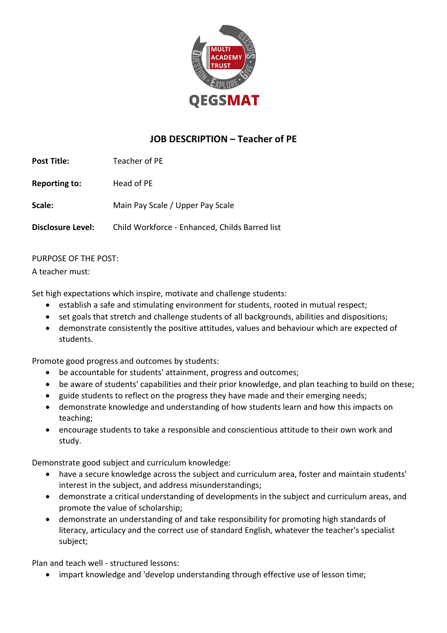

### **JOB DESCRIPTION – Teacher of PE**

| <b>Post Title:</b>   | Teacher of PE                    |
|----------------------|----------------------------------|
| <b>Reporting to:</b> | Head of PE                       |
| Scale:               | Main Pay Scale / Upper Pay Scale |

**Disclosure Level:** Child Workforce - Enhanced, Childs Barred list

PURPOSE OF THE POST:

A teacher must:

Set high expectations which inspire, motivate and challenge students:

- establish a safe and stimulating environment for students, rooted in mutual respect;
- set goals that stretch and challenge students of all backgrounds, abilities and dispositions;
- demonstrate consistently the positive attitudes, values and behaviour which are expected of students.

Promote good progress and outcomes by students:

- be accountable for students' attainment, progress and outcomes;
- be aware of students' capabilities and their prior knowledge, and plan teaching to build on these;
- guide students to reflect on the progress they have made and their emerging needs;
- demonstrate knowledge and understanding of how students learn and how this impacts on teaching;
- encourage students to take a responsible and conscientious attitude to their own work and study.

Demonstrate good subject and curriculum knowledge:

- have a secure knowledge across the subject and curriculum area, foster and maintain students' interest in the subject, and address misunderstandings;
- demonstrate a critical understanding of developments in the subject and curriculum areas, and promote the value of scholarship;
- demonstrate an understanding of and take responsibility for promoting high standards of literacy, articulacy and the correct use of standard English, whatever the teacher's specialist subject;

Plan and teach well - structured lessons:

• impart knowledge and 'develop understanding through effective use of lesson time;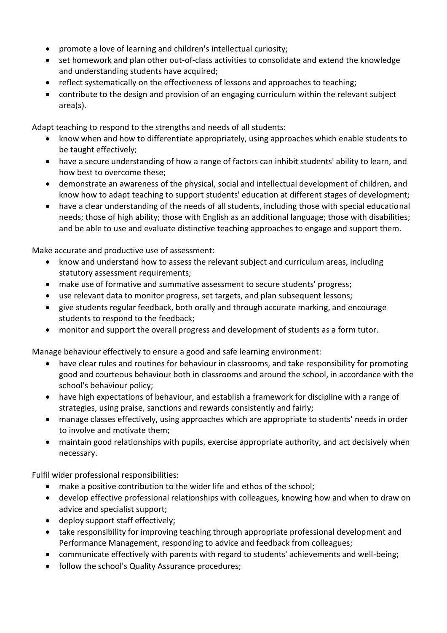- promote a love of learning and children's intellectual curiosity;
- set homework and plan other out-of-class activities to consolidate and extend the knowledge and understanding students have acquired;
- reflect systematically on the effectiveness of lessons and approaches to teaching;
- contribute to the design and provision of an engaging curriculum within the relevant subject area(s).

Adapt teaching to respond to the strengths and needs of all students:

- know when and how to differentiate appropriately, using approaches which enable students to be taught effectively;
- have a secure understanding of how a range of factors can inhibit students' ability to learn, and how best to overcome these;
- demonstrate an awareness of the physical, social and intellectual development of children, and know how to adapt teaching to support students' education at different stages of development;
- have a clear understanding of the needs of all students, including those with special educational needs; those of high ability; those with English as an additional language; those with disabilities; and be able to use and evaluate distinctive teaching approaches to engage and support them.

Make accurate and productive use of assessment:

- know and understand how to assess the relevant subject and curriculum areas, including statutory assessment requirements;
- make use of formative and summative assessment to secure students' progress;
- use relevant data to monitor progress, set targets, and plan subsequent lessons;
- give students regular feedback, both orally and through accurate marking, and encourage students to respond to the feedback;
- monitor and support the overall progress and development of students as a form tutor.

Manage behaviour effectively to ensure a good and safe learning environment:

- have clear rules and routines for behaviour in classrooms, and take responsibility for promoting good and courteous behaviour both in classrooms and around the school, in accordance with the school's behaviour policy;
- have high expectations of behaviour, and establish a framework for discipline with a range of strategies, using praise, sanctions and rewards consistently and fairly;
- manage classes effectively, using approaches which are appropriate to students' needs in order to involve and motivate them;
- maintain good relationships with pupils, exercise appropriate authority, and act decisively when necessary.

Fulfil wider professional responsibilities:

- make a positive contribution to the wider life and ethos of the school;
- develop effective professional relationships with colleagues, knowing how and when to draw on advice and specialist support;
- deploy support staff effectively;
- take responsibility for improving teaching through appropriate professional development and Performance Management, responding to advice and feedback from colleagues;
- communicate effectively with parents with regard to students' achievements and well-being;
- follow the school's Quality Assurance procedures;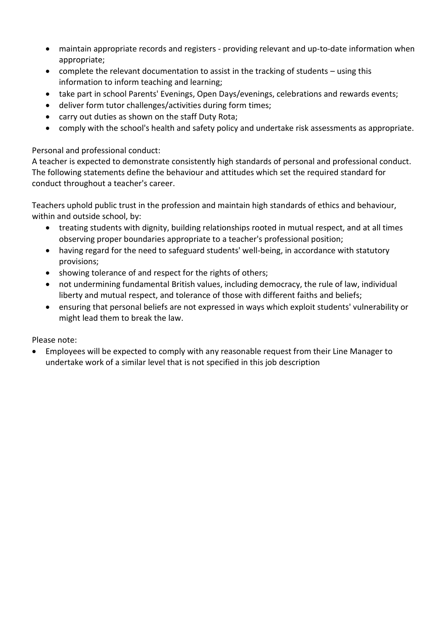- maintain appropriate records and registers providing relevant and up-to-date information when appropriate;
- complete the relevant documentation to assist in the tracking of students using this information to inform teaching and learning;
- take part in school Parents' Evenings, Open Days/evenings, celebrations and rewards events;
- deliver form tutor challenges/activities during form times;
- carry out duties as shown on the staff Duty Rota;
- comply with the school's health and safety policy and undertake risk assessments as appropriate.

### Personal and professional conduct:

A teacher is expected to demonstrate consistently high standards of personal and professional conduct. The following statements define the behaviour and attitudes which set the required standard for conduct throughout a teacher's career.

Teachers uphold public trust in the profession and maintain high standards of ethics and behaviour, within and outside school, by:

- treating students with dignity, building relationships rooted in mutual respect, and at all times observing proper boundaries appropriate to a teacher's professional position;
- having regard for the need to safeguard students' well-being, in accordance with statutory provisions;
- showing tolerance of and respect for the rights of others;
- not undermining fundamental British values, including democracy, the rule of law, individual liberty and mutual respect, and tolerance of those with different faiths and beliefs;
- ensuring that personal beliefs are not expressed in ways which exploit students' vulnerability or might lead them to break the law.

#### Please note:

• Employees will be expected to comply with any reasonable request from their Line Manager to undertake work of a similar level that is not specified in this job description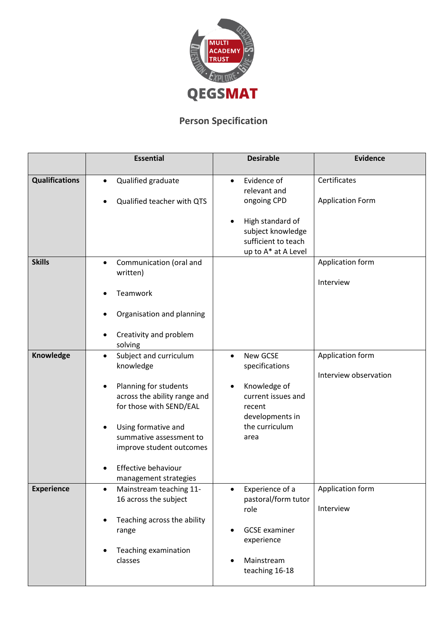

# **Person Specification**

|                       | <b>Essential</b>                                                                                                                                                                                                                                                                             | <b>Desirable</b>                                                                                                                                            | <b>Evidence</b>                           |
|-----------------------|----------------------------------------------------------------------------------------------------------------------------------------------------------------------------------------------------------------------------------------------------------------------------------------------|-------------------------------------------------------------------------------------------------------------------------------------------------------------|-------------------------------------------|
| <b>Qualifications</b> | Qualified graduate<br>$\bullet$<br>Qualified teacher with QTS                                                                                                                                                                                                                                | Evidence of<br>$\bullet$<br>relevant and<br>ongoing CPD<br>High standard of<br>$\bullet$<br>subject knowledge<br>sufficient to teach<br>up to A* at A Level | Certificates<br><b>Application Form</b>   |
| <b>Skills</b>         | Communication (oral and<br>$\bullet$<br>written)<br>Teamwork<br>Organisation and planning<br>Creativity and problem<br>$\bullet$<br>solving                                                                                                                                                  |                                                                                                                                                             | Application form<br>Interview             |
| Knowledge             | Subject and curriculum<br>$\bullet$<br>knowledge<br>Planning for students<br>$\bullet$<br>across the ability range and<br>for those with SEND/EAL<br>Using formative and<br>$\bullet$<br>summative assessment to<br>improve student outcomes<br>Effective behaviour<br>management strategies | New GCSE<br>$\bullet$<br>specifications<br>Knowledge of<br>$\bullet$<br>current issues and<br>recent<br>developments in<br>the curriculum<br>area           | Application form<br>Interview observation |
| <b>Experience</b>     | Mainstream teaching 11-<br>16 across the subject<br>Teaching across the ability<br>$\bullet$<br>range<br>Teaching examination<br>classes                                                                                                                                                     | Experience of a<br>pastoral/form tutor<br>role<br><b>GCSE</b> examiner<br>$\bullet$<br>experience<br>Mainstream<br>٠<br>teaching 16-18                      | Application form<br>Interview             |